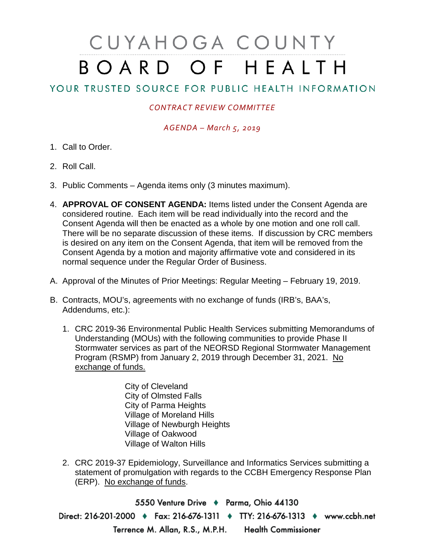# CUYAHOGA COUNTY BOARD OF HEALTH

## YOUR TRUSTED SOURCE FOR PUBLIC HEALTH INFORMATION

### *CONTRACT REVIEW COMMITTEE*

#### *AGENDA – March 5, 2019*

- 1. Call to Order.
- 2. Roll Call.
- 3. Public Comments Agenda items only (3 minutes maximum).
- 4. **APPROVAL OF CONSENT AGENDA:** Items listed under the Consent Agenda are considered routine. Each item will be read individually into the record and the Consent Agenda will then be enacted as a whole by one motion and one roll call. There will be no separate discussion of these items. If discussion by CRC members is desired on any item on the Consent Agenda, that item will be removed from the Consent Agenda by a motion and majority affirmative vote and considered in its normal sequence under the Regular Order of Business.
- A. Approval of the Minutes of Prior Meetings: Regular Meeting February 19, 2019.
- B. Contracts, MOU's, agreements with no exchange of funds (IRB's, BAA's, Addendums, etc.):
	- 1. CRC 2019-36 Environmental Public Health Services submitting Memorandums of Understanding (MOUs) with the following communities to provide Phase II Stormwater services as part of the NEORSD Regional Stormwater Management Program (RSMP) from January 2, 2019 through December 31, 2021. No exchange of funds.
		- City of Cleveland City of Olmsted Falls City of Parma Heights Village of Moreland Hills Village of Newburgh Heights Village of Oakwood Village of Walton Hills
	- 2. CRC 2019-37 Epidemiology, Surveillance and Informatics Services submitting a statement of promulgation with regards to the CCBH Emergency Response Plan (ERP). No exchange of funds.

5550 Venture Drive + Parma, Ohio 44130 Direct: 216-201-2000 • Fax: 216-676-1311 • TTY: 216-676-1313 • www.ccbh.net Terrence M. Allan, R.S., M.P.H. Health Commissioner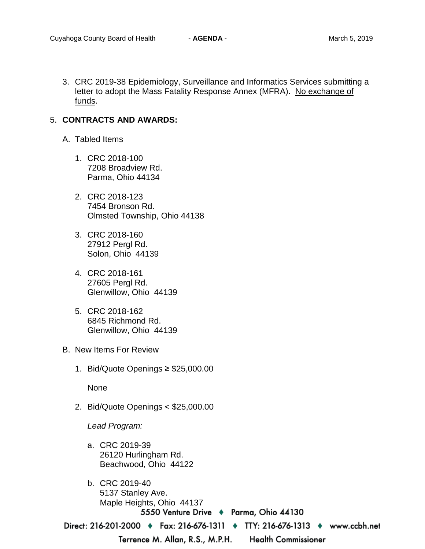3. CRC 2019-38 Epidemiology, Surveillance and Informatics Services submitting a letter to adopt the Mass Fatality Response Annex (MFRA). No exchange of funds.

#### 5. **CONTRACTS AND AWARDS:**

- A. Tabled Items
	- 1. CRC 2018-100 7208 Broadview Rd. Parma, Ohio 44134
	- 2. CRC 2018-123 7454 Bronson Rd. Olmsted Township, Ohio 44138
	- 3. CRC 2018-160 27912 Pergl Rd. Solon, Ohio 44139
	- 4. CRC 2018-161 27605 Pergl Rd. Glenwillow, Ohio 44139
	- 5. CRC 2018-162 6845 Richmond Rd. Glenwillow, Ohio 44139
- B. New Items For Review
	- 1. Bid/Quote Openings ≥ \$25,000.00

None

2. Bid/Quote Openings < \$25,000.00

*Lead Program:*

- a. CRC 2019-39 26120 Hurlingham Rd. Beachwood, Ohio 44122
- b. CRC 2019-40 5137 Stanley Ave. Maple Heights, Ohio 441375550 Venture Drive ♦ Parma, Ohio 44130

Direct: 216-201-2000 • Fax: 216-676-1311 • TTY: 216-676-1313 • www.ccbh.net

Terrence M. Allan, R.S., M.P.H.

**Health Commissioner**